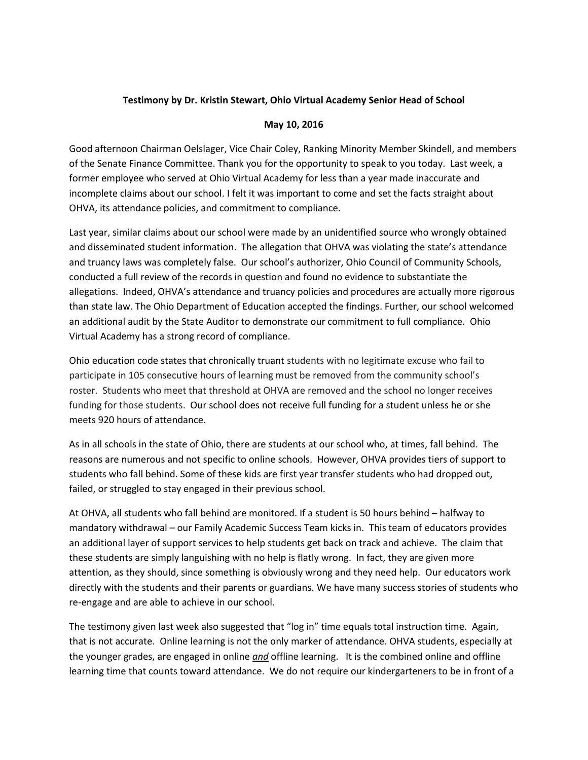## **Testimony by Dr. Kristin Stewart, Ohio Virtual Academy Senior Head of School**

## **May 10, 2016**

Good afternoon Chairman Oelslager, Vice Chair Coley, Ranking Minority Member Skindell, and members of the Senate Finance Committee. Thank you for the opportunity to speak to you today. Last week, a former employee who served at Ohio Virtual Academy for less than a year made inaccurate and incomplete claims about our school. I felt it was important to come and set the facts straight about OHVA, its attendance policies, and commitment to compliance.

Last year, similar claims about our school were made by an unidentified source who wrongly obtained and disseminated student information. The allegation that OHVA was violating the state's attendance and truancy laws was completely false. Our school's authorizer, Ohio Council of Community Schools, conducted a full review of the records in question and found no evidence to substantiate the allegations. Indeed, OHVA's attendance and truancy policies and procedures are actually more rigorous than state law. The Ohio Department of Education accepted the findings. Further, our school welcomed an additional audit by the State Auditor to demonstrate our commitment to full compliance. Ohio Virtual Academy has a strong record of compliance.

Ohio education code states that chronically truant students with no legitimate excuse who fail to participate in 105 consecutive hours of learning must be removed from the community school's roster. Students who meet that threshold at OHVA are removed and the school no longer receives funding for those students. Our school does not receive full funding for a student unless he or she meets 920 hours of attendance.

As in all schools in the state of Ohio, there are students at our school who, at times, fall behind. The reasons are numerous and not specific to online schools. However, OHVA provides tiers of support to students who fall behind. Some of these kids are first year transfer students who had dropped out, failed, or struggled to stay engaged in their previous school.

At OHVA, all students who fall behind are monitored. If a student is 50 hours behind – halfway to mandatory withdrawal – our Family Academic Success Team kicks in. This team of educators provides an additional layer of support services to help students get back on track and achieve. The claim that these students are simply languishing with no help is flatly wrong. In fact, they are given more attention, as they should, since something is obviously wrong and they need help. Our educators work directly with the students and their parents or guardians. We have many success stories of students who re-engage and are able to achieve in our school.

The testimony given last week also suggested that "log in" time equals total instruction time. Again, that is not accurate. Online learning is not the only marker of attendance. OHVA students, especially at the younger grades, are engaged in online *and* offline learning. It is the combined online and offline learning time that counts toward attendance. We do not require our kindergarteners to be in front of a